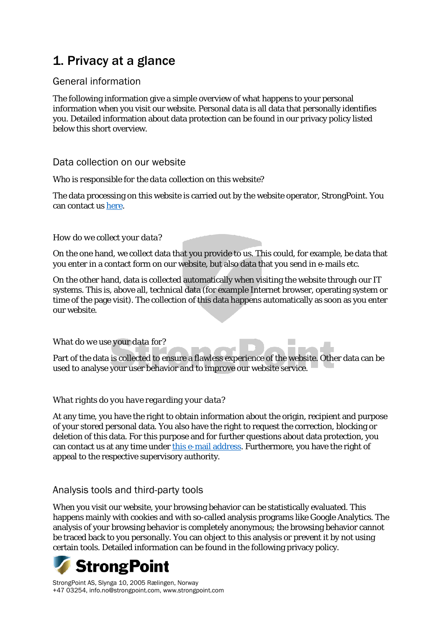# 1. Privacy at a glance

### General information

The following information give a simple overview of what happens to your personal information when you visit our website. Personal data is all data that personally identifies you. Detailed information about data protection can be found in our privacy policy listed below this short overview.

#### Data collection on our website

#### *Who is responsible for the data collection on this website?*

The data processing on this website is carried out by the website operator, StrongPoint. You can contact us [here.](mailto:info@strongpoint.com)

#### *How do we collect your data?*

On the one hand, we collect data that you provide to us. This could, for example, be data that you enter in a contact form on our website, but also data that you send in e-mails etc.

On the other hand, data is collected automatically when visiting the website through our IT systems. This is, above all, technical data (for example Internet browser, operating system or time of the page visit). The collection of this data happens automatically as soon as you enter our website.

#### *What do we use your data for?*

Part of the data is collected to ensure a flawless experience of the website. Other data can be used to analyse your user behavior and to improve our website service.

#### *What rights do you have regarding your data?*

At any time, you have the right to obtain information about the origin, recipient and purpose of your stored personal data. You also have the right to request the correction, blocking or deletion of this data. For this purpose and for further questions about data protection, you can contact us at any time under [this e-mail address.](mailto:info@strongpoint.com) Furthermore, you have the right of appeal to the respective supervisory authority.

#### Analysis tools and third-party tools

When you visit our website, your browsing behavior can be statistically evaluated. This happens mainly with cookies and with so-called analysis programs like Google Analytics. The analysis of your browsing behavior is completely anonymous; the browsing behavior cannot be traced back to you personally. You can object to this analysis or prevent it by not using certain tools. Detailed information can be found in the following privacy policy.

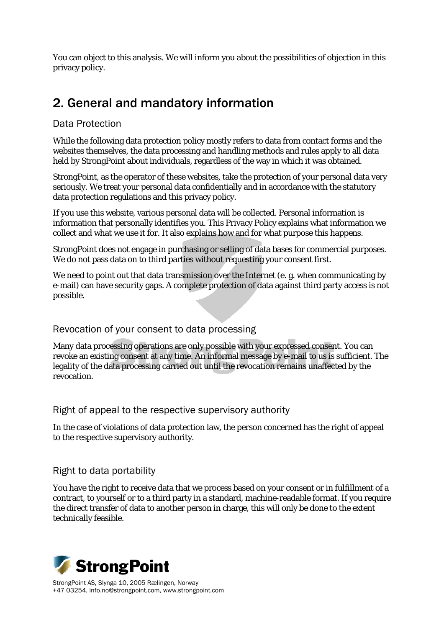You can object to this analysis. We will inform you about the possibilities of objection in this privacy policy.

## 2. General and mandatory information

#### Data Protection

While the following data protection policy mostly refers to data from contact forms and the websites themselves, the data processing and handling methods and rules apply to all data held by StrongPoint about individuals, regardless of the way in which it was obtained.

StrongPoint, as the operator of these websites, take the protection of your personal data very seriously. We treat your personal data confidentially and in accordance with the statutory data protection regulations and this privacy policy.

If you use this website, various personal data will be collected. Personal information is information that personally identifies you. This Privacy Policy explains what information we collect and what we use it for. It also explains how and for what purpose this happens.

StrongPoint does not engage in purchasing or selling of data bases for commercial purposes. We do not pass data on to third parties without requesting your consent first.

We need to point out that data transmission over the Internet (e. g. when communicating by e-mail) can have security gaps. A complete protection of data against third party access is not possible.

Revocation of your consent to data processing

Many data processing operations are only possible with your expressed consent. You can revoke an existing consent at any time. An informal message by e-mail to us is sufficient. The legality of the data processing carried out until the revocation remains unaffected by the revocation.

Right of appeal to the respective supervisory authority

In the case of violations of data protection law, the person concerned has the right of appeal to the respective supervisory authority.

## Right to data portability

You have the right to receive data that we process based on your consent or in fulfillment of a contract, to yourself or to a third party in a standard, machine-readable format. If you require the direct transfer of data to another person in charge, this will only be done to the extent technically feasible.

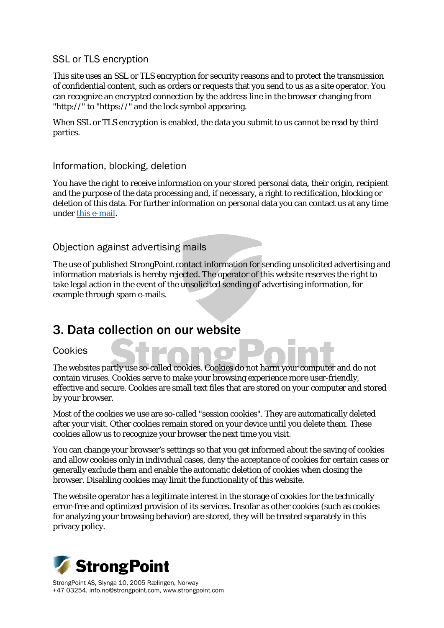### SSL or TLS encryption

This site uses an SSL or TLS encryption for security reasons and to protect the transmission of confidential content, such as orders or requests that you send to us as a site operator. You can recognize an encrypted connection by the address line in the browser changing from "http://" to "https://" and the lock symbol appearing.

When SSL or TLS encryption is enabled, the data you submit to us cannot be read by third parties.

#### Information, blocking, deletion

You have the right to receive information on your stored personal data, their origin, recipient and the purpose of the data processing and, if necessary, a right to rectification, blocking or deletion of this data. For further information on personal data you can contact us at any time under [this e-mail.](mailto:info@strongpoint.com)

### Objection against advertising mails

The use of published StrongPoint contact information for sending unsolicited advertising and information materials is hereby rejected. The operator of this website reserves the right to take legal action in the event of the unsolicited sending of advertising information, for example through spam e-mails.

## 3. Data collection on our website

#### Cookies

The websites partly use so-called cookies. Cookies do not harm your computer and do not contain viruses. Cookies serve to make your browsing experience more user-friendly, effective and secure. Cookies are small text files that are stored on your computer and stored by your browser.

Most of the cookies we use are so-called "session cookies". They are automatically deleted after your visit. Other cookies remain stored on your device until you delete them. These cookies allow us to recognize your browser the next time you visit.

You can change your browser's settings so that you get informed about the saving of cookies and allow cookies only in individual cases, deny the acceptance of cookies for certain cases or generally exclude them and enable the automatic deletion of cookies when closing the browser. Disabling cookies may limit the functionality of this website.

The website operator has a legitimate interest in the storage of cookies for the technically error-free and optimized provision of its services. Insofar as other cookies (such as cookies for analyzing your browsing behavior) are stored, they will be treated separately in this privacy policy.

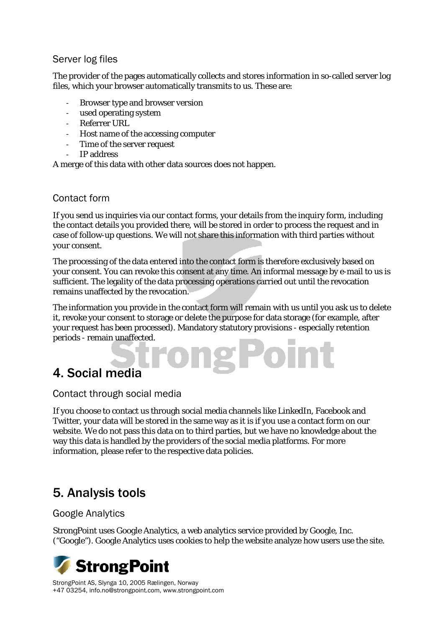### Server log files

The provider of the pages automatically collects and stores information in so-called server log files, which your browser automatically transmits to us. These are:

- Browser type and browser version
- used operating system
- Referrer URL
- Host name of the accessing computer
- Time of the server request
- IP address

A merge of this data with other data sources does not happen.

### Contact form

If you send us inquiries via our contact forms, your details from the inquiry form, including the contact details you provided there, will be stored in order to process the request and in case of follow-up questions. We will not share this information with third parties without your consent.

The processing of the data entered into the contact form is therefore exclusively based on your consent. You can revoke this consent at any time. An informal message by e-mail to us is sufficient. The legality of the data processing operations carried out until the revocation remains unaffected by the revocation.

The information you provide in the contact form will remain with us until you ask us to delete it, revoke your consent to storage or delete the purpose for data storage (for example, after your request has been processed). Mandatory statutory provisions - especially retention periods - remain unaffected.

## 4. Social media

#### Contact through social media

If you choose to contact us through social media channels like LinkedIn, Facebook and Twitter, your data will be stored in the same way as it is if you use a contact form on our website. We do not pass this data on to third parties, but we have no knowledge about the way this data is handled by the providers of the social media platforms. For more information, please refer to the respective data policies.

## 5. Analysis tools

## Google Analytics

StrongPoint uses Google Analytics, a web analytics service provided by Google, Inc. ("Google"). Google Analytics uses cookies to help the website analyze how users use the site.